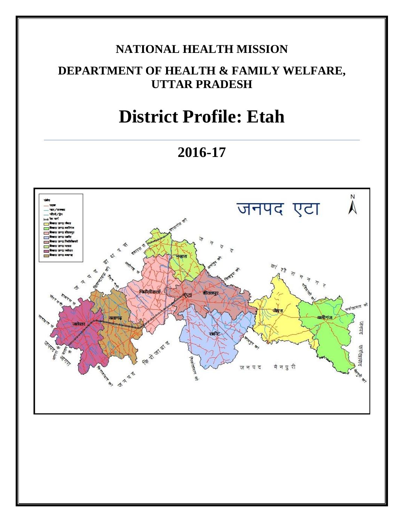# **NATIONAL HEALTH MISSION**

# **DEPARTMENT OF HEALTH & FAMILY WELFARE, UTTAR PRADESH**

# **District Profile: Etah**

**2016-17**

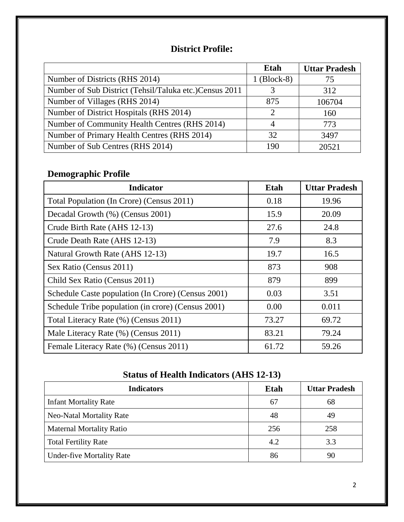### **District Profile:**

|                                                         | Etah          | <b>Uttar Pradesh</b> |
|---------------------------------------------------------|---------------|----------------------|
| Number of Districts (RHS 2014)                          | $1$ (Block-8) | 75                   |
| Number of Sub District (Tehsil/Taluka etc.) Census 2011 |               | 312                  |
| Number of Villages (RHS 2014)                           | 875           | 106704               |
| Number of District Hospitals (RHS 2014)                 | C             | 160                  |
| Number of Community Health Centres (RHS 2014)           |               | 773                  |
| Number of Primary Health Centres (RHS 2014)             | 32            | 3497                 |
| Number of Sub Centres (RHS 2014)                        | 190           | 20521                |

## **Demographic Profile**

| <b>Indicator</b>                                   | Etah  | <b>Uttar Pradesh</b> |
|----------------------------------------------------|-------|----------------------|
| Total Population (In Crore) (Census 2011)          | 0.18  | 19.96                |
| Decadal Growth (%) (Census 2001)                   | 15.9  | 20.09                |
| Crude Birth Rate (AHS 12-13)                       | 27.6  | 24.8                 |
| Crude Death Rate (AHS 12-13)                       | 7.9   | 8.3                  |
| Natural Growth Rate (AHS 12-13)                    | 19.7  | 16.5                 |
| Sex Ratio (Census 2011)                            | 873   | 908                  |
| Child Sex Ratio (Census 2011)                      | 879   | 899                  |
| Schedule Caste population (In Crore) (Census 2001) | 0.03  | 3.51                 |
| Schedule Tribe population (in crore) (Census 2001) | 0.00  | 0.011                |
| Total Literacy Rate (%) (Census 2011)              | 73.27 | 69.72                |
| Male Literacy Rate (%) (Census 2011)               | 83.21 | 79.24                |
| Female Literacy Rate (%) (Census 2011)             | 61.72 | 59.26                |

### **Status of Health Indicators (AHS 12-13)**

| <b>Indicators</b>                | <b>Etah</b> | <b>Uttar Pradesh</b> |
|----------------------------------|-------------|----------------------|
| <b>Infant Mortality Rate</b>     | 67          | 68                   |
| <b>Neo-Natal Mortality Rate</b>  | 48          | 49                   |
| <b>Maternal Mortality Ratio</b>  | 256         | 258                  |
| <b>Total Fertility Rate</b>      | 4.2         | 3.3                  |
| <b>Under-five Mortality Rate</b> | 86          | 90                   |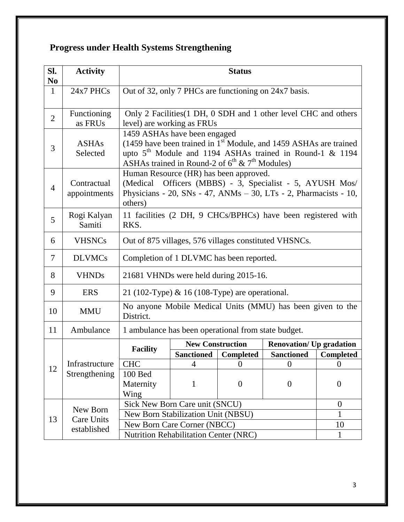# **Progress under Health Systems Strengthening**

| SI.<br>N <sub>0</sub>                        | <b>Activity</b>                  | <b>Status</b>                                                                                                                                                                                                                 |                         |                        |                                                                 |                  |
|----------------------------------------------|----------------------------------|-------------------------------------------------------------------------------------------------------------------------------------------------------------------------------------------------------------------------------|-------------------------|------------------------|-----------------------------------------------------------------|------------------|
| $\mathbf{1}$                                 | 24x7 PHCs                        | Out of 32, only 7 PHCs are functioning on 24x7 basis.                                                                                                                                                                         |                         |                        |                                                                 |                  |
| $\overline{2}$                               | Functioning<br>as FRUs           | level) are working as FRUs                                                                                                                                                                                                    |                         |                        | Only 2 Facilities (1 DH, 0 SDH and 1 other level CHC and others |                  |
| 3                                            | <b>ASHAs</b><br>Selected         | 1459 ASHAs have been engaged<br>(1459 have been trained in $1st$ Module, and 1459 ASHAs are trained<br>upto $5th$ Module and 1194 ASHAs trained in Round-1 & 1194<br>ASHAs trained in Round-2 of $6^{th}$ & $7^{th}$ Modules) |                         |                        |                                                                 |                  |
| $\overline{4}$                               | Contractual<br>appointments      | Human Resource (HR) has been approved.<br>(Medical Officers (MBBS) - 3, Specialist - 5, AYUSH Mos/<br>Physicians - 20, SNs - 47, ANMs $-$ 30, LTs - 2, Pharmacists - 10,<br>others)                                           |                         |                        |                                                                 |                  |
| 5                                            | Rogi Kalyan<br>Samiti            | 11 facilities (2 DH, 9 CHCs/BPHCs) have been registered with<br>RKS.                                                                                                                                                          |                         |                        |                                                                 |                  |
| 6                                            | <b>VHSNCs</b>                    | Out of 875 villages, 576 villages constituted VHSNCs.                                                                                                                                                                         |                         |                        |                                                                 |                  |
| 7                                            | <b>DLVMCs</b>                    | Completion of 1 DLVMC has been reported.                                                                                                                                                                                      |                         |                        |                                                                 |                  |
| 8                                            | <b>VHNDs</b>                     | 21681 VHNDs were held during 2015-16.                                                                                                                                                                                         |                         |                        |                                                                 |                  |
| 9                                            | <b>ERS</b>                       | 21 (102-Type) & 16 (108-Type) are operational.                                                                                                                                                                                |                         |                        |                                                                 |                  |
| 10                                           | <b>MMU</b>                       | No anyone Mobile Medical Units (MMU) has been given to the<br>District.                                                                                                                                                       |                         |                        |                                                                 |                  |
| 11                                           | Ambulance                        | 1 ambulance has been operational from state budget.                                                                                                                                                                           |                         |                        |                                                                 |                  |
|                                              |                                  | <b>Facility</b>                                                                                                                                                                                                               | <b>New Construction</b> |                        | <b>Renovation/ Up gradation</b>                                 |                  |
|                                              |                                  |                                                                                                                                                                                                                               |                         | Sanctioned   Completed | <b>Sanctioned</b>                                               | <b>Completed</b> |
| 12                                           | Infrastructure<br>Strengthening  | <b>CHC</b>                                                                                                                                                                                                                    | 4                       | $\overline{0}$         | $\theta$                                                        | $\overline{0}$   |
|                                              |                                  | 100 Bed<br>Maternity<br>Wing                                                                                                                                                                                                  | $\mathbf{1}$            | $\boldsymbol{0}$       | $\theta$                                                        | $\overline{0}$   |
|                                              | Sick New Born Care unit (SNCU)   |                                                                                                                                                                                                                               |                         | $\overline{0}$         |                                                                 |                  |
|                                              | New Born                         | New Born Stabilization Unit (NBSU)                                                                                                                                                                                            |                         |                        | 1                                                               |                  |
| 13                                           | <b>Care Units</b><br>established | New Born Care Corner (NBCC)                                                                                                                                                                                                   |                         |                        | 10                                                              |                  |
| <b>Nutrition Rehabilitation Center (NRC)</b> |                                  |                                                                                                                                                                                                                               | 1                       |                        |                                                                 |                  |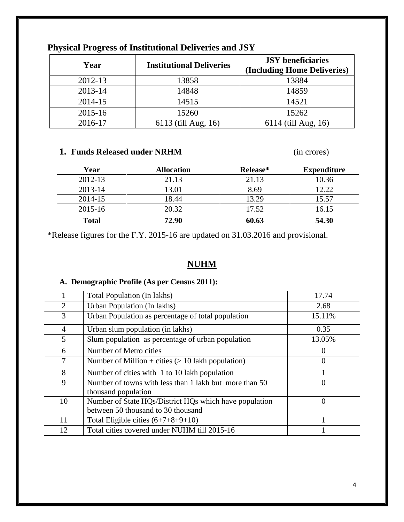| Year    | <b>Institutional Deliveries</b> | <b>JSY</b> beneficiaries<br>(Including Home Deliveries) |
|---------|---------------------------------|---------------------------------------------------------|
| 2012-13 | 13858                           | 13884                                                   |
| 2013-14 | 14848                           | 14859                                                   |
| 2014-15 | 14515                           | 14521                                                   |
| 2015-16 | 15260                           | 15262                                                   |
| 2016-17 | 6113 (till Aug, 16)             | 6114 (till Aug, 16)                                     |

### **Physical Progress of Institutional Deliveries and JSY**

### **1. Funds Released under NRHM** (in crores)

| Year         | <b>Allocation</b> | Release* | <b>Expenditure</b> |
|--------------|-------------------|----------|--------------------|
| 2012-13      | 21.13             | 21.13    | 10.36              |
| 2013-14      | 13.01             | 8.69     | 12.22              |
| 2014-15      | 18.44             | 13.29    | 15.57              |
| 2015-16      | 20.32             | 17.52    | 16.15              |
| <b>Total</b> | 72.90             | 60.63    | 54.30              |

\*Release figures for the F.Y. 2015-16 are updated on 31.03.2016 and provisional.

### **NUHM**

### **A. Demographic Profile (As per Census 2011):**

|                | <b>Total Population (In lakhs)</b>                                            | 17.74    |
|----------------|-------------------------------------------------------------------------------|----------|
| 2              | Urban Population (In lakhs)                                                   | 2.68     |
| 3              | Urban Population as percentage of total population                            | 15.11%   |
| $\overline{4}$ | Urban slum population (in lakhs)                                              | 0.35     |
| 5              | Slum population as percentage of urban population                             | 13.05%   |
| 6              | Number of Metro cities                                                        | $\theta$ |
| 7              | Number of Million + cities $(> 10$ lakh population)                           | 0        |
| 8              | Number of cities with 1 to 10 lakh population                                 |          |
| 9              | Number of towns with less than 1 lakh but more than 50<br>thousand population | $\theta$ |
| 10             | Number of State HQs/District HQs which have population                        | $\theta$ |
|                | between 50 thousand to 30 thousand                                            |          |
| 11             | Total Eligible cities $(6+7+8+9+10)$                                          |          |
| 12             | Total cities covered under NUHM till 2015-16                                  |          |